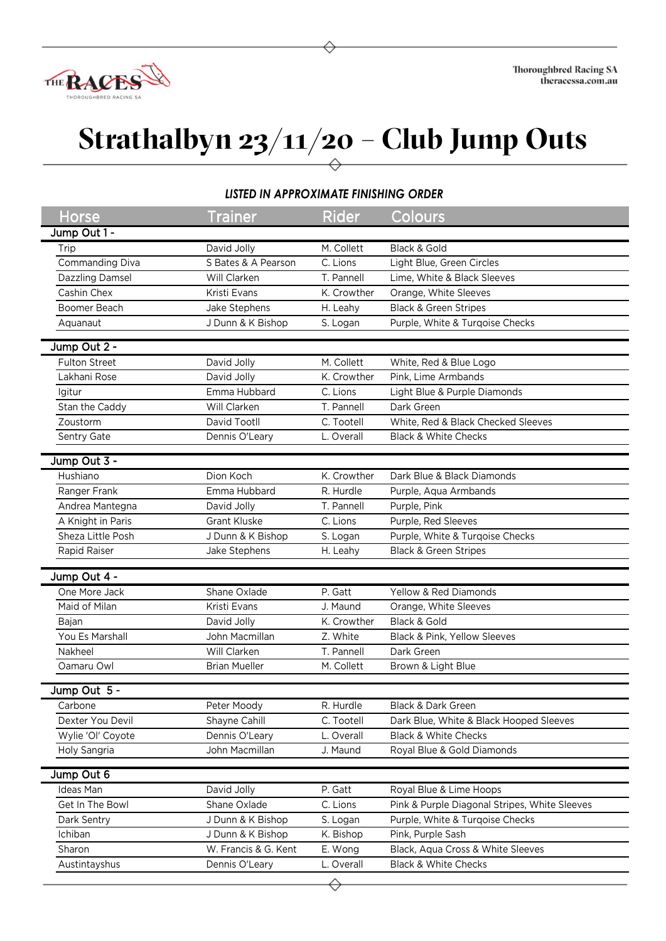

## **Strathalbyn 23/11/20 – Club Jump Outs**

## *LISTED IN APPROXIMATE FINISHING ORDER*

| Horse             | <b>Trainer</b>                   | <b>Rider</b> | Colours                                       |
|-------------------|----------------------------------|--------------|-----------------------------------------------|
| Jump Out 1 -      |                                  |              |                                               |
| Trip              | David Jolly                      | M. Collett   | Black & Gold                                  |
| Commanding Diva   | S Bates & A Pearson              | C. Lions     | Light Blue, Green Circles                     |
| Dazzling Damsel   | Will Clarken                     | T. Pannell   | Lime, White & Black Sleeves                   |
| Cashin Chex       | Kristi Evans                     | K. Crowther  | Orange, White Sleeves                         |
| Boomer Beach      | Jake Stephens                    | H. Leahy     | <b>Black &amp; Green Stripes</b>              |
| Aquanaut          | J Dunn & K Bishop                | S. Logan     | Purple, White & Turqoise Checks               |
|                   |                                  |              |                                               |
| Jump Out 2 -      |                                  |              |                                               |
| Fulton Street     | David Jolly                      | M. Collett   | White, Red & Blue Logo                        |
| Lakhani Rose      | David Jolly                      | K. Crowther  | Pink, Lime Armbands                           |
| Igitur            | Emma Hubbard                     | C. Lions     | Light Blue & Purple Diamonds                  |
| Stan the Caddy    | Will Clarken                     | T. Pannell   | Dark Green                                    |
| Zoustorm          | David Tootll                     | C. Tootell   | White, Red & Black Checked Sleeves            |
| Sentry Gate       | Dennis O'Leary                   | L. Overall   | <b>Black &amp; White Checks</b>               |
| Jump Out 3 -      |                                  |              |                                               |
| Hushiano          | Dion Koch                        | K. Crowther  | Dark Blue & Black Diamonds                    |
| Ranger Frank      | Emma Hubbard                     | R. Hurdle    | Purple, Aqua Armbands                         |
| Andrea Mantegna   | David Jolly                      | T. Pannell   | Purple, Pink                                  |
| A Knight in Paris | <b>Grant Kluske</b>              | C. Lions     | Purple, Red Sleeves                           |
| Sheza Little Posh | J Dunn & K Bishop                | S. Logan     | Purple, White & Turqoise Checks               |
| Rapid Raiser      | Jake Stephens                    | H. Leahy     | <b>Black &amp; Green Stripes</b>              |
|                   |                                  |              |                                               |
| Jump Out 4 -      |                                  |              |                                               |
| One More Jack     | Shane Oxlade                     | P. Gatt      | Yellow & Red Diamonds                         |
| Maid of Milan     | Kristi Evans                     | J. Maund     | Orange, White Sleeves                         |
| Bajan             | David Jolly                      | K. Crowther  | Black & Gold                                  |
| You Es Marshall   | John Macmillan                   | Z. White     | Black & Pink, Yellow Sleeves                  |
| Nakheel           | Will Clarken                     | T. Pannell   | Dark Green                                    |
| Oamaru Owl        | <b>Brian Mueller</b>             | M. Collett   | Brown & Light Blue                            |
| Jump Out 5 -      |                                  |              |                                               |
| Carbone           |                                  | R. Hurdle    | Black & Dark Green                            |
| Dexter You Devil  | Peter Moody<br>Shayne Cahill     | C. Tootell   | Dark Blue, White & Black Hooped Sleeves       |
|                   |                                  | L. Overall   | <b>Black &amp; White Checks</b>               |
| Wylie 'Ol' Coyote | Dennis O'Leary<br>John Macmillan |              |                                               |
| Holy Sangria      |                                  | J. Maund     | Royal Blue & Gold Diamonds                    |
| Jump Out 6        |                                  |              |                                               |
| Ideas Man         | David Jolly                      | P. Gatt      | Royal Blue & Lime Hoops                       |
| Get In The Bowl   | Shane Oxlade                     | C. Lions     | Pink & Purple Diagonal Stripes, White Sleeves |
| Dark Sentry       | J Dunn & K Bishop                | S. Logan     | Purple, White & Turqoise Checks               |
| Ichiban           | J Dunn & K Bishop                | K. Bishop    | Pink, Purple Sash                             |
| Sharon            | W. Francis & G. Kent             | E. Wong      | Black, Aqua Cross & White Sleeves             |
| Austintayshus     | Dennis O'Leary                   | L. Overall   | Black & White Checks                          |
|                   |                                  |              |                                               |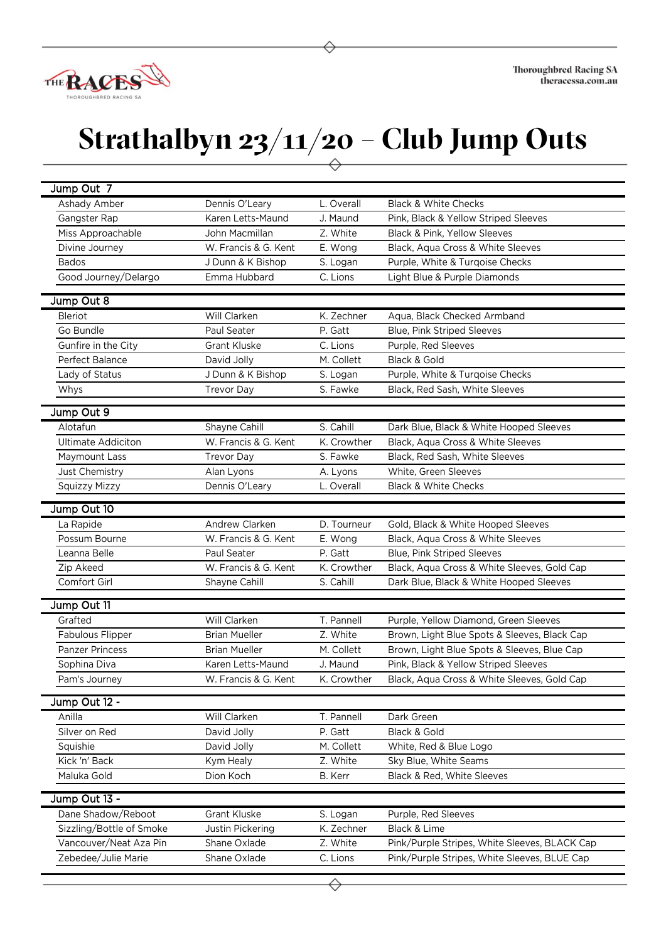

## **Strathalbyn 23/11/20 – Club Jump Outs**

| Jump Out 7                |                      |             |                                               |
|---------------------------|----------------------|-------------|-----------------------------------------------|
| Ashady Amber              | Dennis O'Leary       | L. Overall  | <b>Black &amp; White Checks</b>               |
| Gangster Rap              | Karen Letts-Maund    | J. Maund    | Pink, Black & Yellow Striped Sleeves          |
| Miss Approachable         | John Macmillan       | Z. White    | Black & Pink, Yellow Sleeves                  |
| Divine Journey            | W. Francis & G. Kent | E. Wong     | Black, Aqua Cross & White Sleeves             |
| <b>Bados</b>              | J Dunn & K Bishop    | S. Logan    | Purple, White & Turqoise Checks               |
| Good Journey/Delargo      | Emma Hubbard         | C. Lions    | Light Blue & Purple Diamonds                  |
| Jump Out 8                |                      |             |                                               |
| <b>Bleriot</b>            | Will Clarken         | K. Zechner  | Aqua, Black Checked Armband                   |
| Go Bundle                 | Paul Seater          | P. Gatt     | Blue, Pink Striped Sleeves                    |
| Gunfire in the City       | <b>Grant Kluske</b>  | C. Lions    | Purple, Red Sleeves                           |
| Perfect Balance           | David Jolly          | M. Collett  | Black & Gold                                  |
| Lady of Status            | J Dunn & K Bishop    | S. Logan    | Purple, White & Turqoise Checks               |
| Whys                      | <b>Trevor Day</b>    | S. Fawke    | Black, Red Sash, White Sleeves                |
| Jump Out 9                |                      |             |                                               |
| Alotafun                  | Shayne Cahill        | S. Cahill   | Dark Blue, Black & White Hooped Sleeves       |
| <b>Ultimate Addiciton</b> | W. Francis & G. Kent | K. Crowther | Black, Aqua Cross & White Sleeves             |
| Maymount Lass             | <b>Trevor Day</b>    | S. Fawke    | Black, Red Sash, White Sleeves                |
| Just Chemistry            | Alan Lyons           | A. Lyons    | White, Green Sleeves                          |
| <b>Squizzy Mizzy</b>      | Dennis O'Leary       | L. Overall  | <b>Black &amp; White Checks</b>               |
|                           |                      |             |                                               |
| Jump Out 10               |                      |             |                                               |
| La Rapide                 | Andrew Clarken       | D. Tourneur | Gold, Black & White Hooped Sleeves            |
| Possum Bourne             | W. Francis & G. Kent | E. Wong     | Black, Aqua Cross & White Sleeves             |
| Leanna Belle              | Paul Seater          | P. Gatt     | Blue, Pink Striped Sleeves                    |
| Zip Akeed                 | W. Francis & G. Kent | K. Crowther | Black, Aqua Cross & White Sleeves, Gold Cap   |
| Comfort Girl              | Shayne Cahill        | S. Cahill   | Dark Blue, Black & White Hooped Sleeves       |
| Jump Out 11               |                      |             |                                               |
| Grafted                   | Will Clarken         | T. Pannell  | Purple, Yellow Diamond, Green Sleeves         |
| Fabulous Flipper          | <b>Brian Mueller</b> | Z. White    | Brown, Light Blue Spots & Sleeves, Black Cap  |
| <b>Panzer Princess</b>    | <b>Brian Mueller</b> | M. Collett  | Brown, Light Blue Spots & Sleeves, Blue Cap   |
| Sophina Diva              | Karen Letts-Maund    | J. Maund    | Pink, Black & Yellow Striped Sleeves          |
| Pam's Journey             | W. Francis & G. Kent | K. Crowther | Black, Aqua Cross & White Sleeves, Gold Cap   |
| Jump Out 12 -             |                      |             |                                               |
| Anilla                    | Will Clarken         | T. Pannell  | Dark Green                                    |
| Silver on Red             | David Jolly          | P. Gatt     | Black & Gold                                  |
| Squishie                  | David Jolly          | M. Collett  | White, Red & Blue Logo                        |
| Kick 'n' Back             | Kym Healy            | Z. White    | Sky Blue, White Seams                         |
| Maluka Gold               | Dion Koch            | B. Kerr     | Black & Red, White Sleeves                    |
| Jump Out 13 -             |                      |             |                                               |
| Dane Shadow/Reboot        | <b>Grant Kluske</b>  | S. Logan    | Purple, Red Sleeves                           |
| Sizzling/Bottle of Smoke  | Justin Pickering     | K. Zechner  | Black & Lime                                  |
| Vancouver/Neat Aza Pin    | Shane Oxlade         | Z. White    | Pink/Purple Stripes, White Sleeves, BLACK Cap |
| Zebedee/Julie Marie       | Shane Oxlade         | C. Lions    | Pink/Purple Stripes, White Sleeves, BLUE Cap  |
|                           |                      |             |                                               |